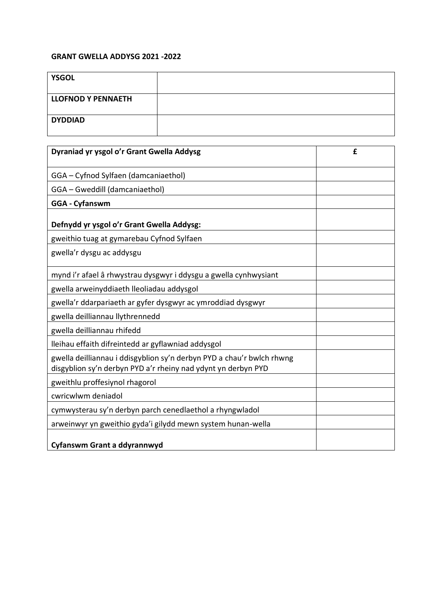## **GRANT GWELLA ADDYSG 2021 -2022**

| <b>YSGOL</b>       |  |
|--------------------|--|
| LLOFNOD Y PENNAETH |  |
| <b>DYDDIAD</b>     |  |

| Dyraniad yr ysgol o'r Grant Gwella Addysg                                                                                              | £ |
|----------------------------------------------------------------------------------------------------------------------------------------|---|
| GGA - Cyfnod Sylfaen (damcaniaethol)                                                                                                   |   |
| GGA - Gweddill (damcaniaethol)                                                                                                         |   |
| <b>GGA - Cyfanswm</b>                                                                                                                  |   |
| Defnydd yr ysgol o'r Grant Gwella Addysg:                                                                                              |   |
| gweithio tuag at gymarebau Cyfnod Sylfaen                                                                                              |   |
| gwella'r dysgu ac addysgu                                                                                                              |   |
| mynd i'r afael â rhwystrau dysgwyr i ddysgu a gwella cynhwysiant                                                                       |   |
| gwella arweinyddiaeth lleoliadau addysgol                                                                                              |   |
| gwella'r ddarpariaeth ar gyfer dysgwyr ac ymroddiad dysgwyr                                                                            |   |
| gwella deilliannau llythrennedd                                                                                                        |   |
| gwella deilliannau rhifedd                                                                                                             |   |
| lleihau effaith difreintedd ar gyflawniad addysgol                                                                                     |   |
| gwella deilliannau i ddisgyblion sy'n derbyn PYD a chau'r bwlch rhwng<br>disgyblion sy'n derbyn PYD a'r rheiny nad ydynt yn derbyn PYD |   |
| gweithlu proffesiynol rhagorol                                                                                                         |   |
| cwricwlwm deniadol                                                                                                                     |   |
| cymwysterau sy'n derbyn parch cenedlaethol a rhyngwladol                                                                               |   |
| arweinwyr yn gweithio gyda'i gilydd mewn system hunan-wella                                                                            |   |
| Cyfanswm Grant a ddyrannwyd                                                                                                            |   |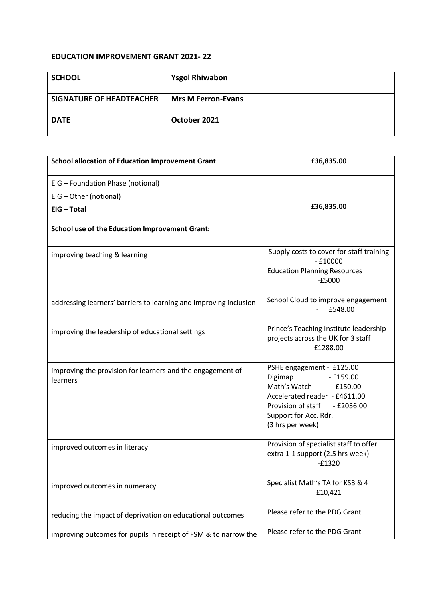## **EDUCATION IMPROVEMENT GRANT 2021- 22**

| <b>SCHOOL</b>                   | <b>Ysgol Rhiwabon</b>     |
|---------------------------------|---------------------------|
| <b>SIGNATURE OF HEADTEACHER</b> | <b>Mrs M Ferron-Evans</b> |
| <b>DATE</b>                     | October 2021              |

| <b>School allocation of Education Improvement Grant</b>                | £36,835.00                                                                                                                                                                                           |
|------------------------------------------------------------------------|------------------------------------------------------------------------------------------------------------------------------------------------------------------------------------------------------|
| EIG - Foundation Phase (notional)                                      |                                                                                                                                                                                                      |
| EIG - Other (notional)                                                 |                                                                                                                                                                                                      |
| EIG - Total                                                            | £36,835.00                                                                                                                                                                                           |
| <b>School use of the Education Improvement Grant:</b>                  |                                                                                                                                                                                                      |
|                                                                        |                                                                                                                                                                                                      |
| improving teaching & learning                                          | Supply costs to cover for staff training<br>$-£10000$                                                                                                                                                |
|                                                                        | <b>Education Planning Resources</b><br>$-£5000$                                                                                                                                                      |
| addressing learners' barriers to learning and improving inclusion      | School Cloud to improve engagement<br>£548.00                                                                                                                                                        |
| improving the leadership of educational settings                       | Prince's Teaching Institute leadership<br>projects across the UK for 3 staff<br>£1288.00                                                                                                             |
| improving the provision for learners and the engagement of<br>learners | PSHE engagement - £125.00<br>Digimap<br>$-£159.00$<br>Math's Watch<br>$-£150.00$<br>Accelerated reader - £4611.00<br>Provision of staff<br>$-$ £2036.00<br>Support for Acc. Rdr.<br>(3 hrs per week) |
| improved outcomes in literacy                                          | Provision of specialist staff to offer<br>extra 1-1 support (2.5 hrs week)<br>$-£1320$                                                                                                               |
| improved outcomes in numeracy                                          | Specialist Math's TA for KS3 & 4<br>£10,421                                                                                                                                                          |
| reducing the impact of deprivation on educational outcomes             | Please refer to the PDG Grant                                                                                                                                                                        |
| improving outcomes for pupils in receipt of FSM & to narrow the        | Please refer to the PDG Grant                                                                                                                                                                        |